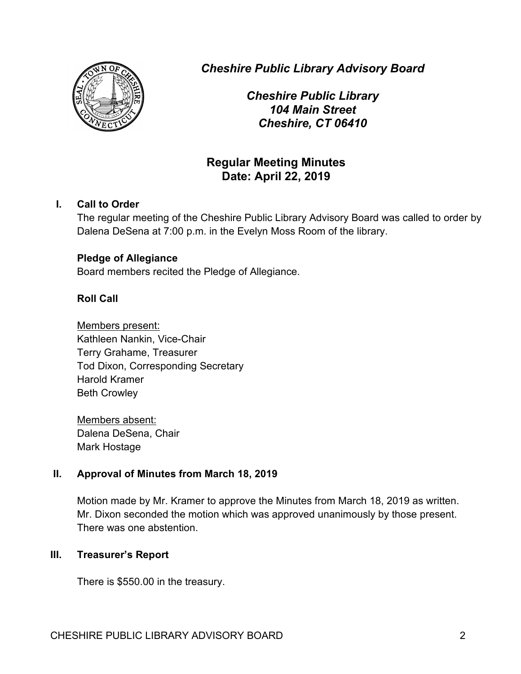

*Cheshire Public Library Advisory Board*

*Cheshire Public Library 104 Main Street Cheshire, CT 06410*

# **Regular Meeting Minutes Date: April 22, 2019**

# **I. Call to Order**

The regular meeting of the Cheshire Public Library Advisory Board was called to order by Dalena DeSena at 7:00 p.m. in the Evelyn Moss Room of the library.

# **Pledge of Allegiance**

Board members recited the Pledge of Allegiance.

# **Roll Call**

Members present: Kathleen Nankin, Vice-Chair Terry Grahame, Treasurer Tod Dixon, Corresponding Secretary Harold Kramer Beth Crowley

Members absent: Dalena DeSena, Chair Mark Hostage

# **II. Approval of Minutes from March 18, 2019**

Motion made by Mr. Kramer to approve the Minutes from March 18, 2019 as written. Mr. Dixon seconded the motion which was approved unanimously by those present. There was one abstention.

# **III. Treasurer's Report**

There is \$550.00 in the treasury.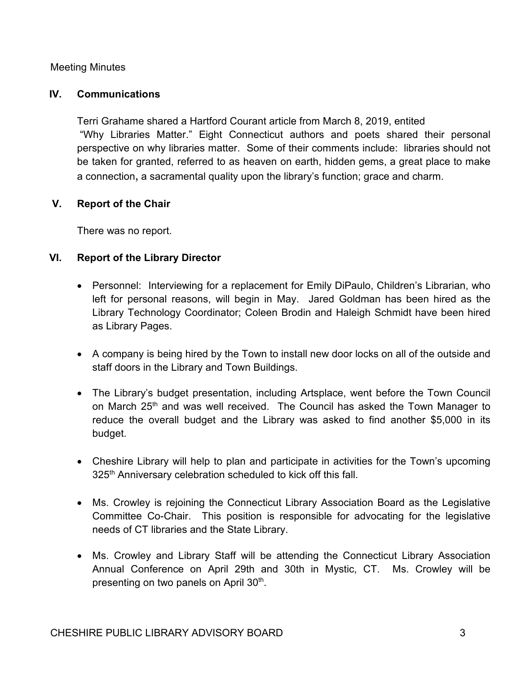#### Meeting Minutes

#### **IV. Communications**

Terri Grahame shared a Hartford Courant article from March 8, 2019, entited "Why Libraries Matter." Eight Connecticut authors and poets shared their personal perspective on why libraries matter. Some of their comments include: libraries should not be taken for granted, referred to as heaven on earth, hidden gems, a great place to make a connection, a sacramental quality upon the library's function; grace and charm.

# **V. Report of the Chair**

There was no report.

# **VI. Report of the Library Director**

- Personnel: Interviewing for a replacement for Emily DiPaulo, Children's Librarian, who left for personal reasons, will begin in May. Jared Goldman has been hired as the Library Technology Coordinator; Coleen Brodin and Haleigh Schmidt have been hired as Library Pages.
- A company is being hired by the Town to install new door locks on all of the outside and staff doors in the Library and Town Buildings.
- The Library's budget presentation, including Artsplace, went before the Town Council on March 25<sup>th</sup> and was well received. The Council has asked the Town Manager to reduce the overall budget and the Library was asked to find another \$5,000 in its budget.
- Cheshire Library will help to plan and participate in activities for the Town's upcoming 325<sup>th</sup> Anniversary celebration scheduled to kick off this fall.
- Ms. Crowley is rejoining the Connecticut Library Association Board as the Legislative Committee Co-Chair. This position is responsible for advocating for the legislative needs of CT libraries and the State Library.
- Ms. Crowley and Library Staff will be attending the Connecticut Library Association Annual Conference on April 29th and 30th in Mystic, CT. Ms. Crowley will be presenting on two panels on April 30<sup>th</sup>.